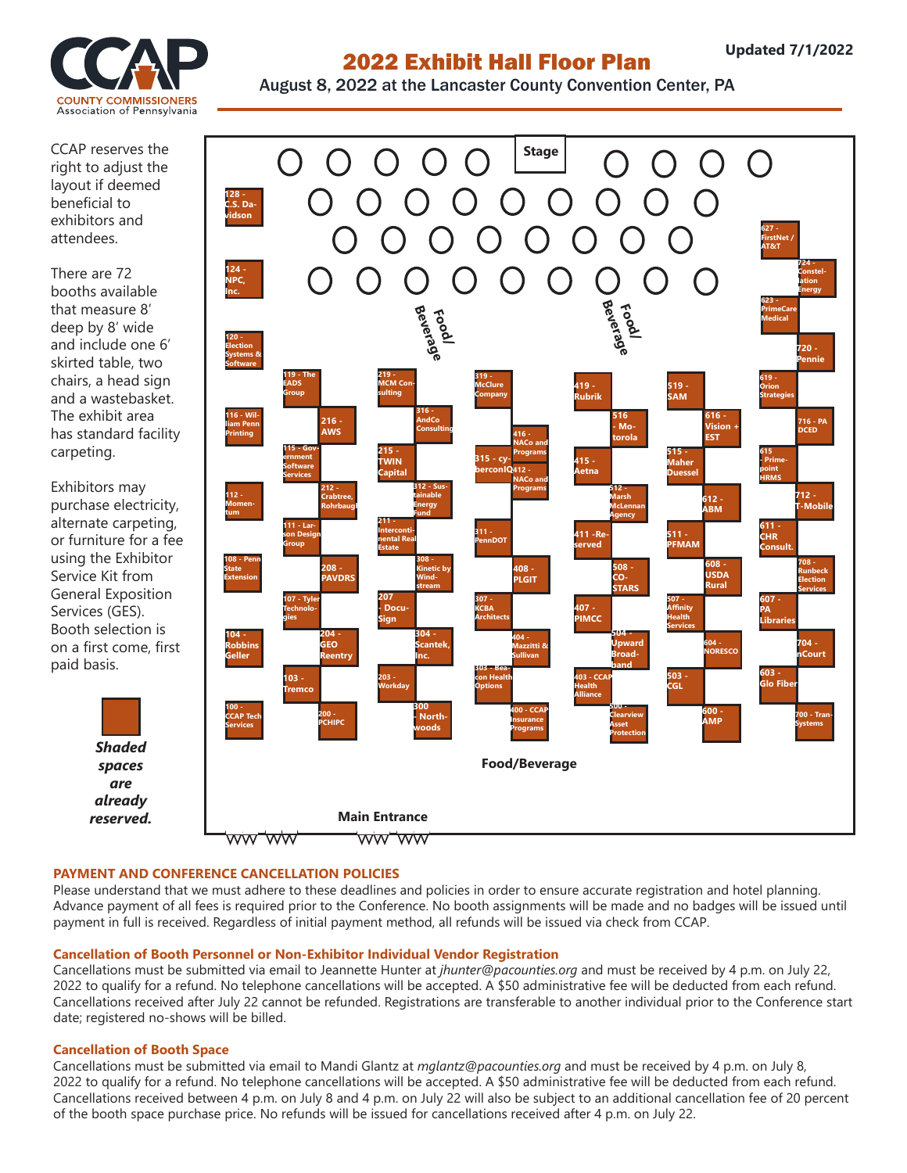

# 2022 Exhibit Hall Floor Plan

August 8, 2022 at the Lancaster County Convention Center, PA

CCAP reserves the right to adjust the layout if deemed beneficial to exhibitors and attendees.

There are 72 booths available that measure 8' deep by 8' wide and include one 6' skirted table, two chairs, a head sign and a wastebasket. The exhibit area has standard facility carpeting.

Exhibitors may purchase electricity, alternate carpeting, or furniture for a fee using the Exhibitor Service Kit from General Exposition Services (GES). Booth selection is on a first come, first paid basis.

> *Shaded spaces are already reserved.*



### **PAYMENT AND CONFERENCE CANCELLATION POLICIES**

Please understand that we must adhere to these deadlines and policies in order to ensure accurate registration and hotel planning. Advance payment of all fees is required prior to the Conference. No booth assignments will be made and no badges will be issued until payment in full is received. Regardless of initial payment method, all refunds will be issued via check from CCAP.

### **Cancellation of Booth Personnel or Non-Exhibitor Individual Vendor Registration**

Cancellations must be submitted via email to Jeannette Hunter at *jhunter@pacounties.org* and must be received by 4 p.m. on July 22, 2022 to qualify for a refund. No telephone cancellations will be accepted. A \$50 administrative fee will be deducted from each refund. Cancellations received after July 22 cannot be refunded. Registrations are transferable to another individual prior to the Conference start date; registered no-shows will be billed.

### **Cancellation of Booth Space**

Cancellations must be submitted via email to Mandi Glantz at *mglantz@pacounties.org* and must be received by 4 p.m. on July 8, 2022 to qualify for a refund. No telephone cancellations will be accepted. A \$50 administrative fee will be deducted from each refund. Cancellations received between 4 p.m. on July 8 and 4 p.m. on July 22 will also be subject to an additional cancellation fee of 20 percent of the booth space purchase price. No refunds will be issued for cancellations received after 4 p.m. on July 22.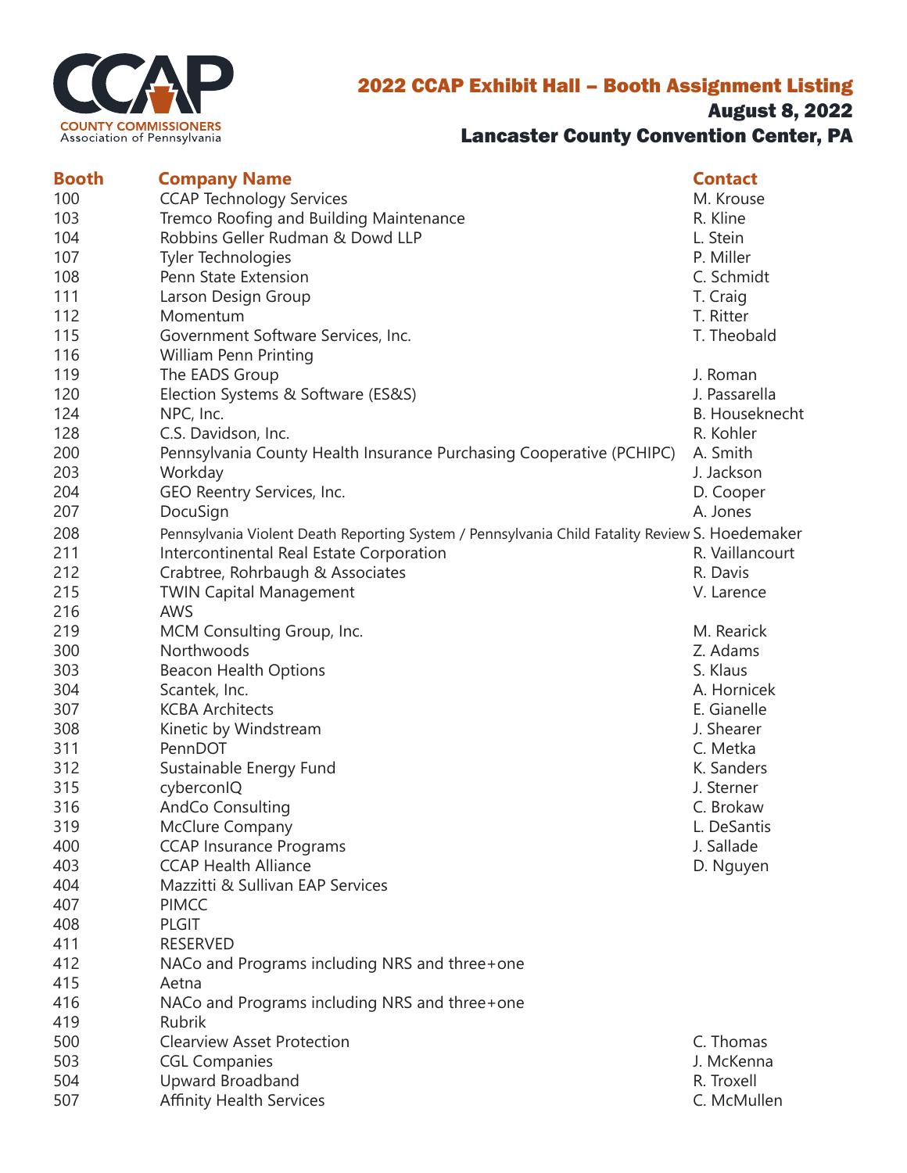

## 2022 CCAP Exhibit Hall – Booth Assignment Listing August 8, 2022 Lancaster County Convention Center, PA

| <b>Booth</b> | <b>Company Name</b>                                                                            | <b>Contact</b>         |
|--------------|------------------------------------------------------------------------------------------------|------------------------|
| 100          | <b>CCAP Technology Services</b>                                                                | M. Krouse              |
| 103          | Tremco Roofing and Building Maintenance                                                        | R. Kline               |
| 104          | Robbins Geller Rudman & Dowd LLP                                                               | L. Stein               |
| 107          | <b>Tyler Technologies</b>                                                                      | P. Miller              |
| 108          | Penn State Extension                                                                           | C. Schmidt             |
| 111          | Larson Design Group                                                                            | T. Craig               |
| 112          | Momentum                                                                                       | T. Ritter              |
| 115          | Government Software Services, Inc.                                                             | T. Theobald            |
| 116          | <b>William Penn Printing</b>                                                                   |                        |
| 119          | The EADS Group                                                                                 | J. Roman               |
| 120          | Election Systems & Software (ES&S)                                                             | J. Passarella          |
| 124          | NPC, Inc.                                                                                      | <b>B.</b> Houseknecht  |
| 128          | C.S. Davidson, Inc.                                                                            | R. Kohler              |
| 200          | Pennsylvania County Health Insurance Purchasing Cooperative (PCHIPC)                           | A. Smith               |
| 203          | Workday                                                                                        | J. Jackson             |
| 204          | GEO Reentry Services, Inc.                                                                     | D. Cooper              |
| 207          | DocuSign                                                                                       | A. Jones               |
| 208          | Pennsylvania Violent Death Reporting System / Pennsylvania Child Fatality Review S. Hoedemaker |                        |
| 211          | Intercontinental Real Estate Corporation                                                       | R. Vaillancourt        |
| 212          | Crabtree, Rohrbaugh & Associates                                                               | R. Davis               |
| 215          | <b>TWIN Capital Management</b>                                                                 | V. Larence             |
| 216          | <b>AWS</b>                                                                                     |                        |
| 219          |                                                                                                | M. Rearick             |
| 300          | MCM Consulting Group, Inc.<br>Northwoods                                                       | Z. Adams               |
|              |                                                                                                | S. Klaus               |
| 303          | Beacon Health Options                                                                          |                        |
| 304          | Scantek, Inc.                                                                                  | A. Hornicek            |
| 307          | <b>KCBA Architects</b>                                                                         | E. Gianelle            |
| 308          | Kinetic by Windstream<br>PennDOT                                                               | J. Shearer<br>C. Metka |
| 311          |                                                                                                |                        |
| 312          | Sustainable Energy Fund                                                                        | K. Sanders             |
| 315          | cyberconIQ                                                                                     | J. Sterner             |
| 316          | <b>AndCo Consulting</b>                                                                        | C. Brokaw              |
| 319          | McClure Company                                                                                | L. DeSantis            |
| 400          | <b>CCAP Insurance Programs</b>                                                                 | J. Sallade             |
| 403          | <b>CCAP Health Alliance</b>                                                                    | D. Nguyen              |
| 404          | Mazzitti & Sullivan EAP Services                                                               |                        |
| 407          | <b>PIMCC</b>                                                                                   |                        |
| 408          | <b>PLGIT</b>                                                                                   |                        |
| 411          | <b>RESERVED</b>                                                                                |                        |
| 412          | NACo and Programs including NRS and three+one                                                  |                        |
| 415          | Aetna                                                                                          |                        |
| 416          | NACo and Programs including NRS and three+one                                                  |                        |
| 419          | Rubrik                                                                                         |                        |
| 500          | <b>Clearview Asset Protection</b>                                                              | C. Thomas              |
| 503          | <b>CGL Companies</b>                                                                           | J. McKenna             |
| 504          | Upward Broadband                                                                               | R. Troxell             |
| 507          | <b>Affinity Health Services</b>                                                                | C. McMullen            |